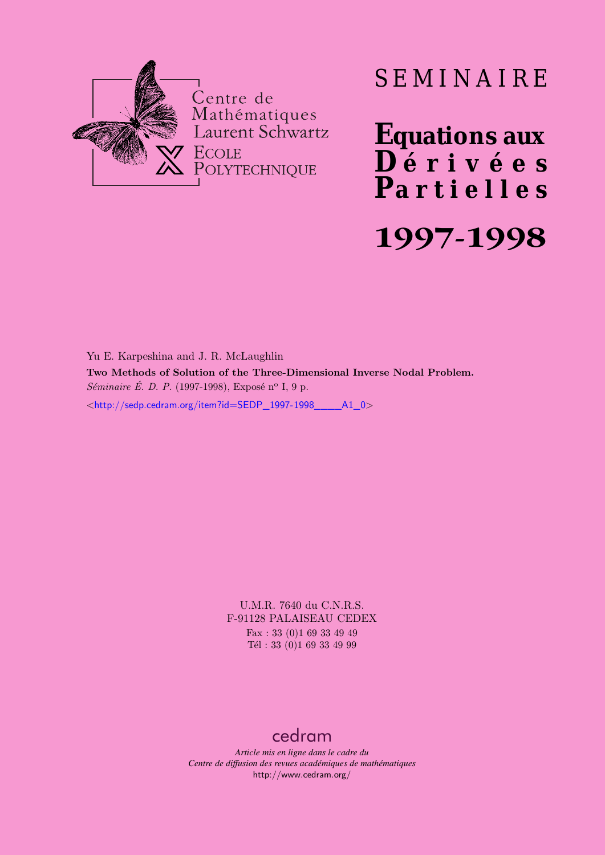

## SEMINAIRE

**Equations aux**  $\overline{\mathbf{D}}$  érivées **Partielles 1997-1998**

Yu E. Karpeshina and J. R. McLaughlin **Two Methods of Solution of the Three-Dimensional Inverse Nodal Problem.** *Séminaire É. D. P.* (1997-1998), Exposé n<sup>o</sup> I, 9 p.

<[http://sedp.cedram.org/item?id=SEDP\\_1997-1998\\_\\_\\_\\_A1\\_0](http://sedp.cedram.org/item?id=SEDP_1997-1998____A1_0)>

U.M.R. 7640 du C.N.R.S. F-91128 PALAISEAU CEDEX Fax : 33 (0)1 69 33 49 49 Tél : 33 (0)1 69 33 49 99

## [cedram](http://www.cedram.org/)

*Article mis en ligne dans le cadre du Centre de diffusion des revues académiques de mathématiques* <http://www.cedram.org/>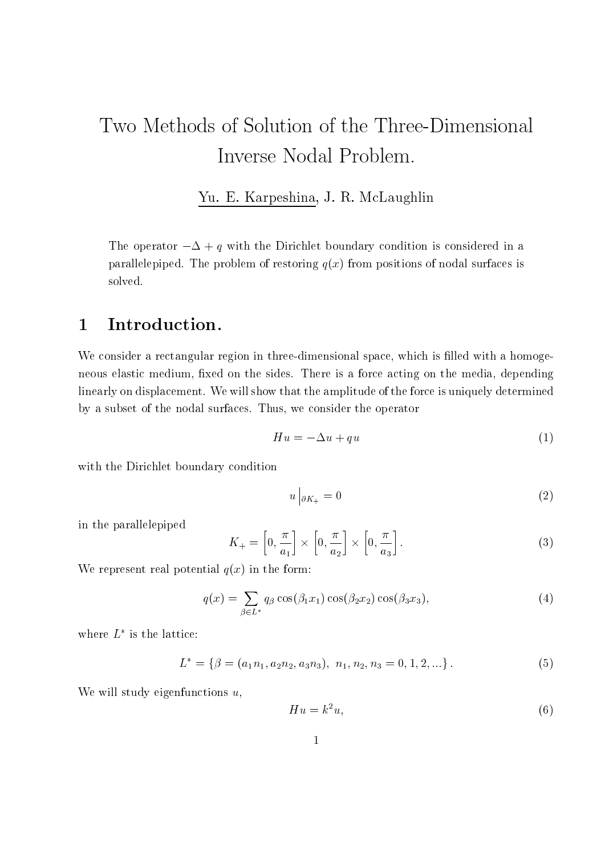# Inverse Nodal Problem

### yu-and and an arrangement of the state of the state of the state of the state of the state of the state of the

The operator  $-\Delta + q$  with the Dirichlet boundary condition is considered in a parallelepiped. The problem of restoring  $q(x)$  from positions of nodal surfaces is solved

#### $\mathbf{1}$ Introduction-

We consider a rectangular region in three-dimensional space, which is filled with a homogeneous elastic medium, fixed on the sides. There is a force acting on the media, depending linearly on displacement. We will show that the amplitude of the force is uniquely determined by a subset of the nodal surfaces. Thus, we consider the operator

and the contract of the contract of the contract of the contract of the contract of the contract of the contract of the contract of the contract of the contract of the contract of the contract of the contract of the contra

$$
Hu = -\Delta u + qu \tag{1}
$$

with the Dirichlet boundary condition

$$
u\big|_{\partial K_+} = 0\tag{2}
$$

in the parallelepiped

$$
K_{+} = \left[0, \frac{\pi}{a_1}\right] \times \left[0, \frac{\pi}{a_2}\right] \times \left[0, \frac{\pi}{a_3}\right].
$$
\n(3)

We represent real potential  $q(x)$  in the form:

$$
q(x) = \sum_{\beta \in L^*} q_{\beta} \cos(\beta_1 x_1) \cos(\beta_2 x_2) \cos(\beta_3 x_3), \tag{4}
$$

where  $L^*$  is the lattice:

$$
L^* = \{ \beta = (a_1 n_1, a_2 n_2, a_3 n_3), \ n_1, n_2, n_3 = 0, 1, 2, \ldots \}.
$$
 (5)

We will study eigenfunctions  $u$ ,

$$
Hu = k^2 u,\tag{6}
$$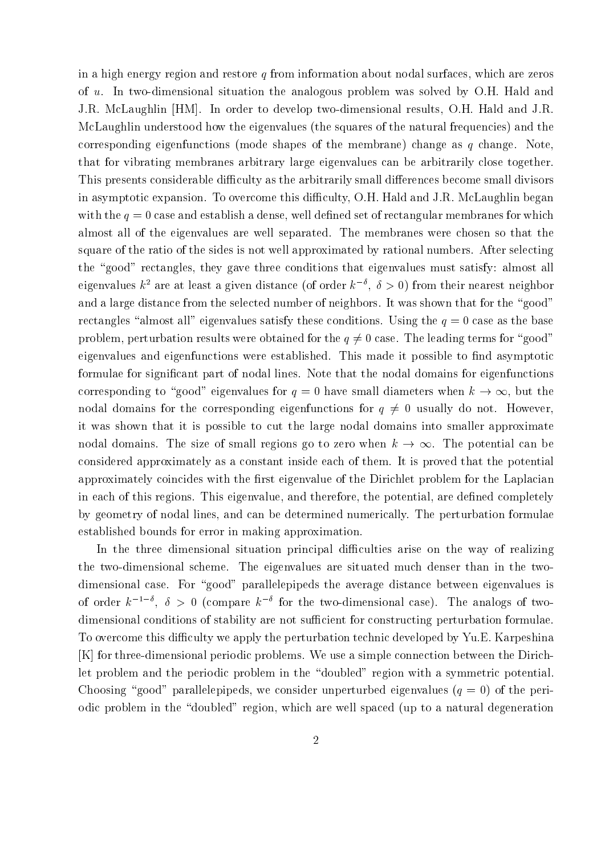in a high energy region and restore  $q$  from information about nodal surfaces, which are zeros of u. In two-dimensional situation the analogous problem was solved by  $O.H.$  Hald and J.R. McLaughlin [HM]. In order to develop two-dimensional results, O.H. Hald and J.R. McLaughlin understood how the eigenvalues (the squares of the natural frequencies) and the corresponding eigenfunctions (mode shapes of the membrane) change as  $q$  change. Note that for vibrating membranes arbitrary large eigenvalues can be arbitrarily close together This presents considerable difficulty as the arbitrarily small differences become small divisors in asymptotic expansion. To overcome this difficulty, O.H. Hald and J.R. McLaughlin began with the q  $\alpha$  case and establish a dense well defined to rectangular membranes for the set of  $\alpha$ almost all of the eigenvalues are well separated. The membranes were chosen so that the square of the ratio of the sides is not well approximated by rational numbers After selecting the "good" rectangles, they gave three conditions that eigenvalues must satisfy: almost all eigenvalues  $k^2$  are at least a given distance (of order  $k^{-\sigma}$ ,  $\delta > 0$ ) from their nearest neighbor and a large distance from the selected number of neighbors. It was shown that for the "good" rectangles almost all eigenvalues satisfy these conditions Using the q computations and the base  $\sim$ problem, perturbation results were obtained for the  $q\neq 0$  case. The leading terms for "good" eigenvalues and eigenfunctions were established. This made it possible to find asymptotic formulae for significant part of nodal lines. Note that the nodal domains for eigenfunctions corresponding to "good" eigenvalues for  $q=0$  have small diameters when  $k\to\infty$ , but the nodal domains for the corresponding eigenfunctions for  $q \neq 0$  usually do not. However, it was shown that it is possible to cut the large nodal domains into smaller approximate nodal domains. The size of small regions go to zero when  $k \to \infty$ . The potential can be considered approximately as a constant inside each of them It is proved that the potential approximately coincides with the first eigenvalue of the Dirichlet problem for the Laplacian in each of this regions. This eigenvalue, and therefore, the potential, are defined completely by geometry of nodal lines, and can be determined numerically. The perturbation formulae established bounds for error in making approximation

In the three dimensional situation principal difficulties arise on the way of realizing the two-dimensional scheme. The eigenvalues are situated much denser than in the twodimensional case. For "good" parallelepipeds the average distance between eigenvalues is of order  $k^{-1-\nu}$ ,  $\delta > 0$  (compare  $k^{-\nu}$  for the two-dimensional case). The analogs of twodimensional conditions of stability are not sufficient for constructing perturbation formulae. To overcome this difficulty we apply the perturbation technic developed by Yu.E. Karpeshina  $[K]$  for three-dimensional periodic problems. We use a simple connection between the Dirichlet problem and the periodic problem in the "doubled" region with a symmetric potential. Chronoling good parallelepipeds we consider unperturbed eigenvalues (4 of the periodic odic problem in the "doubled" region, which are well spaced (up to a natural degeneration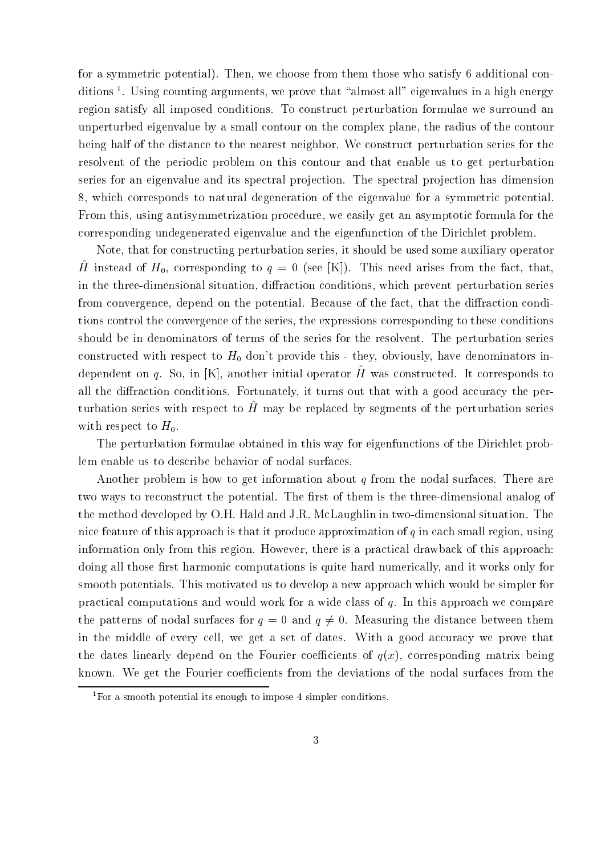for a symmetric potential). Then, we choose from them those who satisfy  $6$  additional conditions - Using counting arguments we prove that almost all eigenvalues in a high energy region satisfy all imposed conditions. To construct perturbation formulae we surround an unperturbed eigenvalue by a small contour on the complex plane, the radius of the contour being half of the distance to the nearest neighbor. We construct perturbation series for the resolvent of the periodic problem on this contour and that enable us to get perturbation series for an eigenvalue and its spectral projection. The spectral projection has dimension which corresponds to natural degeneration of the eigenvalue for a symmetric potential From this, using antisymmetrization procedure, we easily get an asymptotic formula for the corresponding undegenerated eigenvalue and the eigenfunction of the Dirichlet problem

Note, that for constructing perturbation series, it should be used some auxiliary operator If this read of  $H_0$ , corresponding to  $q = 0$  (see  $|K|$ ). This need arises from the fact, that, in the three-dimensional situation, diffraction conditions, which prevent perturbation series from convergence, depend on the potential. Because of the fact, that the diffraction conditions control the convergence of the series, the expressions corresponding to these conditions should be in denominators of terms of the series for the resolvent. The perturbation series constructed with respect to  $H_0$  don't provide this - they, obviously, have denominators independent on q. So, in [K], another initial operator  $\hat{H}$  was constructed. It corresponds to all the diffraction conditions. Fortunately, it turns out that with a good accuracy the perturbation series with respect to  $\hat{H}$  may be replaced by segments of the perturbation series with respect to  $H_0$ .

The perturbation formulae obtained in this way for eigenfunctions of the Dirichlet prob lem enable us to describe behavior of nodal surfaces

Another problem is how to get information about  $q$  from the nodal surfaces. There are two ways to reconstruct the potential. The first of them is the three-dimensional analog of the method developed by  $O.H.$  Hald and J.R. McLaughlin in two-dimensional situation. The nice feature of this approach is that it produce approximation of  $q$  in each small region, using information only from this region. However, there is a practical drawback of this approach: doing all those first harmonic computations is quite hard numerically, and it works only for smooth potentials This motivated us to develop a new approach which would be simpler for practical computations and would work for a wide class of  $q$ . In this approach we compare the patterns of nodal surfaces for  $q = 0$  and  $q \neq 0$ . Measuring the distance between them in the middle of every cell, we get a set of dates. With a good accuracy we prove that the dates linearly depend on the Fourier coefficients of  $q(x)$ , corresponding matrix being known. We get the Fourier coefficients from the deviations of the nodal surfaces from the

<sup>-</sup> For a smooth potential its enough to impose 4 simpler conditions.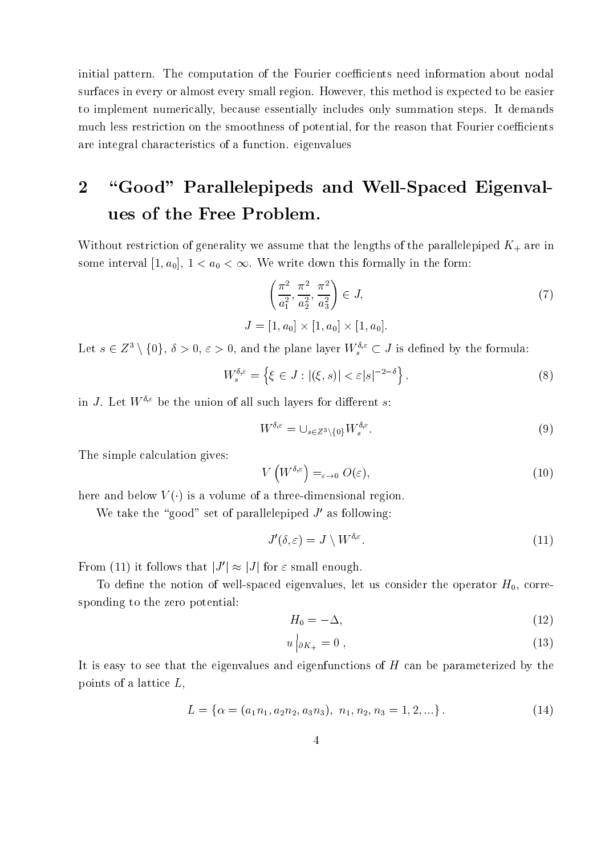initial pattern. The computation of the Fourier coefficients need information about nodal surfaces in every or almost every small region. However, this method is expected to be easier to implement numerically, because essentially includes only summation steps. It demands much less restriction on the smoothness of potential, for the reason that Fourier coefficients are integral characteristics of a function eigenvalues

## $\overline{2}$ "Good" Parallelepipeds and Well-Spaced Eigenval- $\cdots$  of the Free Problem  $\cdots$   $\cdots$   $\cdots$   $\cdots$   $\cdots$

Without restriction of generality we assume that the lengths of the parallelepiped  $K_{+}$  are in some interval  $[1, a_0]$ ,  $1 < a_0 < \infty$ . We write down this formally in the form:

$$
\left(\frac{\pi^2}{a_1^2}, \frac{\pi^2}{a_2^2}, \frac{\pi^2}{a_3^2}\right) \in J,
$$
\n
$$
= [1, a_0] \times [1, a_0] \times [1, a_0].
$$
\n(7)

Let  $s \in Z^3 \setminus \{0\}, \, \delta > 0, \, \varepsilon > 0,$  and the plane layer  $W_s^{\delta, \varepsilon} \subset J$  is defined by the formula:

$$
W_s^{\delta,\varepsilon} = \left\{ \xi \in J : |(\xi, s)| < \varepsilon |s|^{-2-\delta} \right\}.
$$
\n<sup>(8)</sup>

in J. Let  $W^{\delta,\varepsilon}$  be the union of all such layers for different s:

J

$$
W^{\delta,\varepsilon} = \cup_{s \in Z^3 \setminus \{0\}} W^{\delta,\varepsilon}_s. \tag{9}
$$

The simple calculation gives

$$
V\left(W^{\delta,\varepsilon}\right) =_{\varepsilon \to 0} O(\varepsilon),\tag{10}
$$

here and below  $V(\cdot)$  is a volume of a three-dimensional region.

We take the "good" set of parallelepiped  $J'$  as following:

$$
J'(\delta, \varepsilon) = J \setminus W^{\delta, \varepsilon}.\tag{11}
$$

From (11) it follows that  $|J'| \approx |J|$  for  $\varepsilon$  small enough.

To define the notion of well-spaced eigenvalues, let us consider the operator  $H_0$ , corresponding to the zero potential:

$$
H_0 = -\Delta,\tag{12}
$$

$$
u\big|_{\partial K_+} = 0 \;, \tag{13}
$$

It is easy to see that the eigenvalues and eigenfunctions of  $H$  can be parameterized by the  $L =$ 

$$
L = \{ \alpha = (a_1 n_1, a_2 n_2, a_3 n_3), \ n_1, n_2, n_3 = 1, 2, \ldots \}.
$$
 (14)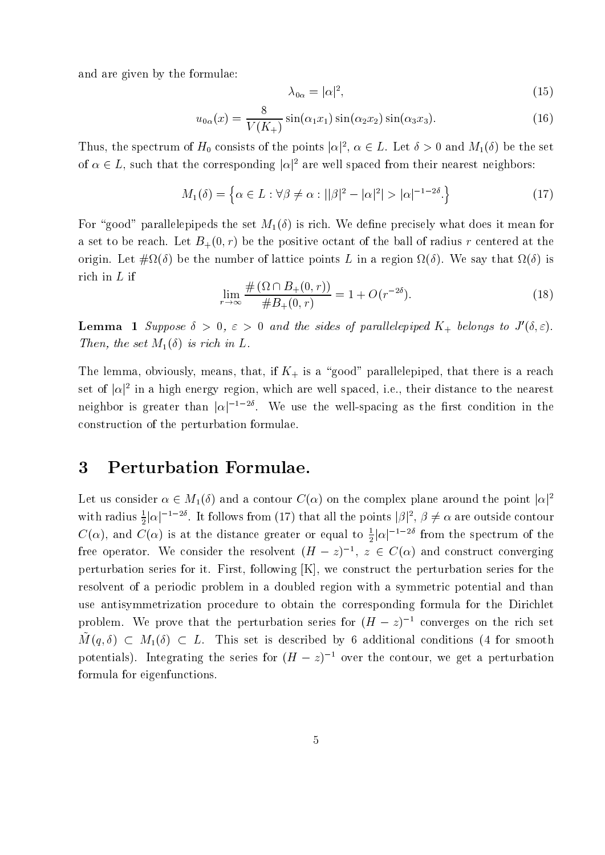and are given by the formulae

$$
\lambda_{0\alpha} = |\alpha|^2, \tag{15}
$$

$$
u_{0\alpha}(x) = \frac{8}{V(K_+)}\sin(\alpha_1 x_1)\sin(\alpha_2 x_2)\sin(\alpha_3 x_3). \tag{16}
$$

Thus, the spectrum of  $H_0$  consists of the points  $|\alpha|^2$ ,  $\alpha \in L$ . Let  $\delta > 0$  and  $M_1(\delta)$  be the set of  $\alpha \in L$ , such that the corresponding  $|\alpha|^2$  are well spaced from their nearest neighbors:

$$
M_1(\delta) = \left\{ \alpha \in L : \forall \beta \neq \alpha : ||\beta|^2 - |\alpha|^2| > |\alpha|^{-1-2\delta} \right\} \tag{17}
$$

For good parallelepipeds the set M- is rich We de ne precisely what does it mean for a set to be reach. Let  $D_+ (0, t)$  be the positive octant of the ball of radius r centered at the origin. Let  $\#\Omega(\delta)$  be the number of lattice points L in a region  $\Omega(\delta)$ . We say that  $\Omega(\delta)$  is rich in <sup>L</sup> if

$$
\lim_{r \to \infty} \frac{\#(\Omega \cap B_+(0, r))}{\#B_+(0, r)} = 1 + O(r^{-2\delta}).
$$
\n(18)

**Lemma** 1 Suppose  $\delta > 0$ ,  $\varepsilon > 0$  and the sides of parallelepiped  $K_+$  belongs to  $J'(\delta, \varepsilon)$ .  $\tau$  is the set  $\tau$  in Lemma , we have the  $\tau$  set  $\tau$ 

The lemma, obviously, means, that, if  $K_{+}$  is a "good" parallelepiped, that there is a reach set of  $|\alpha|^2$  in a high energy region, which are well spaced, i.e., their distance to the nearest neighbor is greater than  $|\alpha|^{-1-2\delta}$ . We use the well-spacing as the first condition in the construction of the perturbation formulae

#### 3 Perturbation Formulae-

Let us consider  $\alpha \in M_1(\delta)$  and a contour  $C(\alpha)$  on the complex plane around the point  $|\alpha|^2$ with radius  $\frac{1}{6} |\alpha|$  $\frac{1}{2}|\alpha|^{-1-2\delta}$ . It follows from (17) that all the points  $|\beta|^2$ ,  $\beta \neq \alpha$  are outside contour  $C(\alpha)$ , and  $C(\alpha)$  is at the distance greater or equal to  $\frac{1}{2}|\alpha|^{-1-2\delta}$  from the spectrum of the free operator. We consider the resolvent  $(H - z)^{-1}$ ,  $z \in C(\alpha)$  and construct converging perturbation series for it. First, following  $[K]$ , we construct the perturbation series for the resolvent of a periodic problem in a doubled region with a symmetric potential and than use antisymmetrization procedure to obtain the corresponding formula for the Dirichlet problem. We prove that the perturbation series for  $(H - z)^{-1}$  converges on the rich set  $M(q, \delta) \subset M_1(\delta) \subset L$ . This set is described by 6 additional conditions (4 for smooth potentials). Integrating the series for  $(H - z)^{-1}$  over the contour, we get a perturbation formula for eigenfunctions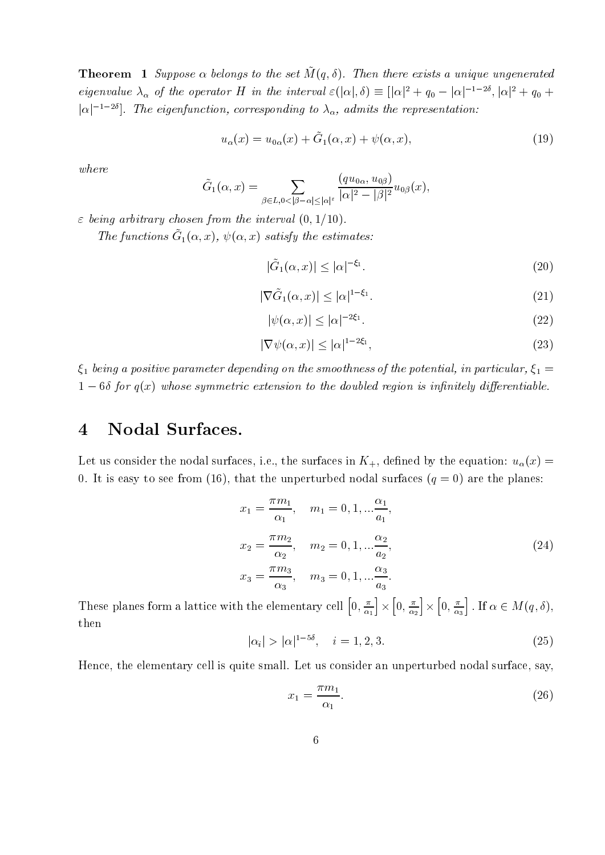**THEOLEIN – I** DUPPOSE OF DETORIES TO THE SET IN (Q, O). Then there exists a unique ungenerated eigenvalue  $\lambda_{\alpha}$  of the operator H in the interval  $\varepsilon(|\alpha|,\delta) \equiv [|\alpha|^2 + q_0 - |\alpha|^{-1-2\delta}, |\alpha|^2 + q_0 +$  $|\alpha|^{-1-2\delta}].$  The eigenfunction, corresponding to  $\lambda_\alpha$ , admits the representation:

$$
u_{\alpha}(x) = u_{0\alpha}(x) + \tilde{G}_1(\alpha, x) + \psi(\alpha, x), \qquad (19)
$$

where

$$
\tilde{G}_1(\alpha, x) = \sum_{\beta \in L, 0 < |\beta - \alpha| \le |\alpha|^{\varepsilon}} \frac{\left(q u_{0\alpha}, u_{0\beta}\right)}{|\alpha|^2 - |\beta|^2} u_{0\beta}(x),
$$

 being arbitrary chosen from the interval - 

The functions  $G_1(\alpha, x)$ ,  $\varphi(\alpha, x)$  subsignme estimates.

 $|G_1(\alpha, x)| \leq |\alpha|^{-\xi_1}.$  $(20)$ 

$$
|\nabla \tilde{G}_1(\alpha, x)| \le |\alpha|^{1 - \xi_1}.\tag{21}
$$

$$
|\psi(\alpha, x)| \le |\alpha|^{-2\xi_1}.\tag{22}
$$

$$
|\nabla \psi(\alpha, x)| \le |\alpha|^{1-2\xi_1},\tag{23}
$$

 $\zeta_1$  octay a positive parameter aepending on the smoothness of the potential, in particular,  $\zeta_1 =$  $f_1 - 6\delta$  for  $q(x)$  whose symmetric extension to the doubled region is infinitely differentiable.

#### $\overline{4}$ Nodal Surfaces-

Let us consider the nodal surfaces, i.e., the surfaces in  $K_{+}$ , defined by the equation:  $u_{\alpha}(x)$  =  It is easy to see from that the unperturbed nodal surfaces q  are the planes

$$
x_1 = \frac{\pi m_1}{\alpha_1}, \quad m_1 = 0, 1, \dots \frac{\alpha_1}{a_1},
$$
  
\n
$$
x_2 = \frac{\pi m_2}{\alpha_2}, \quad m_2 = 0, 1, \dots \frac{\alpha_2}{a_2},
$$
  
\n
$$
x_3 = \frac{\pi m_3}{\alpha_3}, \quad m_3 = 0, 1, \dots \frac{\alpha_3}{a_3}.
$$
\n(24)

These planes form a lattice with the elementary cell  $\left[0,\frac{\pi}{\alpha_1}\right] \times \left[0,\frac{\pi}{\alpha_2}\right] \times \left[0,\frac{\pi}{\alpha_3}\right]$ . If  $\alpha \in M(q,\delta)$ , then

$$
|\alpha_i| > |\alpha|^{1-5\delta}, \quad i = 1, 2, 3. \tag{25}
$$

Hence, the elementary cell is quite small. Let us consider an unperturbed nodal surface, say,

$$
x_1 = \frac{\pi m_1}{\alpha_1}.\tag{26}
$$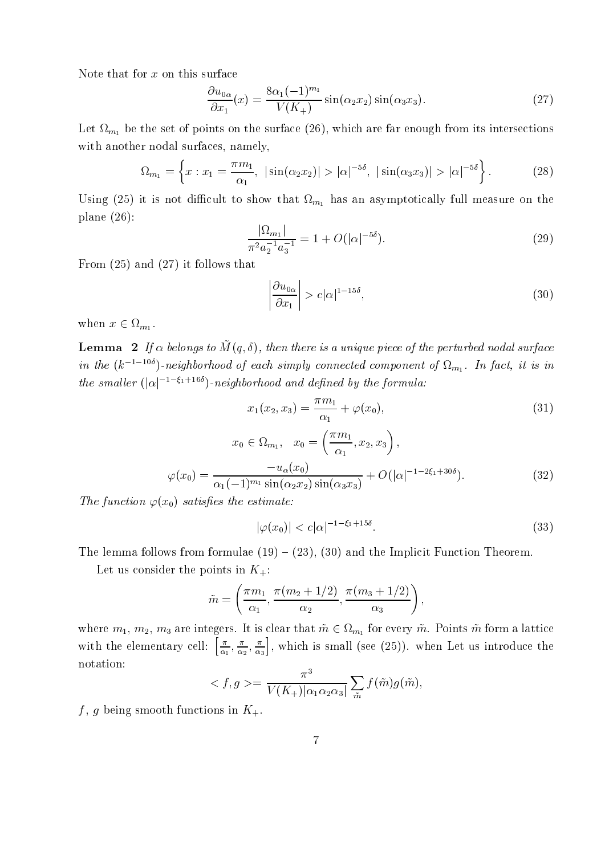Note that for  $x$  on this surface

$$
\frac{\partial u_{0\alpha}}{\partial x_1}(x) = \frac{8\alpha_1(-1)^{m_1}}{V(K_+)}\sin(\alpha_2 x_2)\sin(\alpha_3 x_3). \tag{27}
$$

Let  $\Omega_{m_1}$  be the set of points on the surface (26), which are far enough from its intersections with another nodal surfaces, namely,

$$
\Omega_{m_1} = \left\{ x : x_1 = \frac{\pi m_1}{\alpha_1}, \ |\sin(\alpha_2 x_2)| > |\alpha|^{-5\delta}, \ |\sin(\alpha_3 x_3)| > |\alpha|^{-5\delta} \right\}.
$$
\n(28)

Using (25) it is not difficult to show that  $\Omega_{m_1}$  has an asymptotically full measure on the plane  $(26)$ :

$$
\frac{|\Omega_{m_1}|}{\pi^2 a_2^{-1} a_3^{-1}} = 1 + O(|\alpha|^{-5\delta}).\tag{29}
$$

From  $(25)$  and  $(27)$  it follows that

$$
\left|\frac{\partial u_{0\alpha}}{\partial x_1}\right| > c|\alpha|^{1-15\delta},\tag{30}
$$

when  $x \in \Omega_{m_1}$ .

**Lemma**  $\boldsymbol{\mu}$  if  $\boldsymbol{\alpha}$  belongs to  $\boldsymbol{m}$  (q, o), then there is a unique piece of the perturbed nodal surface in the  $(k^{-1-100})$ -neighborhood of each simply connected component of  $\Omega_{m_1}$ . In fact, it is in the smaller  $(|\alpha|^{-1-\xi_1+16\delta})$ -neighborhood and defined by the formula:

$$
x_1(x_2, x_3) = \frac{\pi m_1}{\alpha_1} + \varphi(x_0), \tag{31}
$$

$$
x_0 \in \Omega_{m_1}, \quad x_0 = \left(\frac{\pi m_1}{\alpha_1}, x_2, x_3\right),
$$

$$
\varphi(x_0) = \frac{-u_\alpha(x_0)}{\alpha_1(-1)^{m_1} \sin(\alpha_2 x_2) \sin(\alpha_3 x_3)} + O(|\alpha|^{-1-2\xi_1+30\delta}).
$$
(32)

 $T$  . For function  $\mathcal{F}$  (  $T$  )  $T$  satisfying the estimate statistic statistic statistic statistic statistic statistic statistic statistic statistic statistic statistic statistic statistic statistic statistic statist

$$
|\varphi(x_0)| < c|\alpha|^{-1-\xi_1+15\delta}.\tag{33}
$$

The lemma follows from formulae  $(19) - (23)$ ,  $(30)$  and the Implicit Function Theorem.

Let us consider the points in  $K_{+}$ :

$$
\tilde{m} = \left(\frac{\pi m_1}{\alpha_1}, \frac{\pi (m_2 + 1/2)}{\alpha_2}, \frac{\pi (m_3 + 1/2)}{\alpha_3}\right),
$$

where  $m_1, m_2, m_3$  are integers. It is clear that  $m \in \Omega_{m_1}$  for every  $m.$  Points  $m$  form a lattice with the elementary cell:  $\left[\frac{\pi}{\alpha_1}, \frac{\pi}{\alpha_2}, \frac{\pi}{\alpha_3}\right]$ , which is small (see (25)). when Let us introduce the notation

$$
\langle f, g \rangle = \frac{\pi^3}{V(K_+)|\alpha_1 \alpha_2 \alpha_3|} \sum_{\tilde{m}} f(\tilde{m}) g(\tilde{m}),
$$

 $f$  ,  $f$  being smooth functions in Kingdom functions in  $\mathcal{F}$  .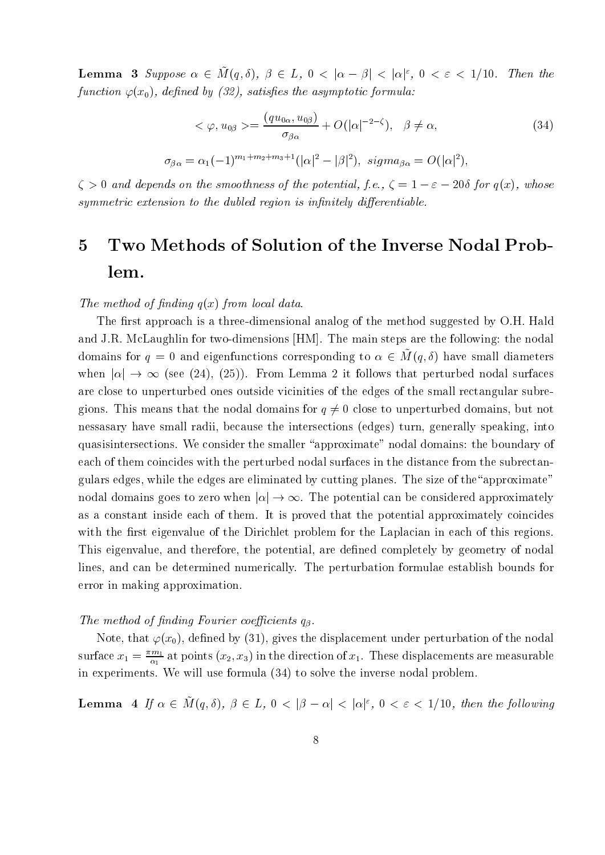**Lemma 3** Suppose  $\alpha \in M(q,\delta)$ ,  $\beta \in L$ ,  $0 < |\alpha - \beta | < |\alpha|^{\varepsilon}$ ,  $0 < \varepsilon < 1/10$ . Then the  $f$  , as a set of  $f$  , as  $f$  , as in the asymptotic formula by  $f$  , as a symptotic formula by  $f$ 

$$
\langle \varphi, u_{0\beta} \rangle = \frac{(qu_{0\alpha}, u_{0\beta})}{\sigma_{\beta\alpha}} + O(|\alpha|^{-2-\zeta}), \quad \beta \neq \alpha,
$$
\n(34)

$$
\sigma_{\beta\alpha} = \alpha_1(-1)^{m_1+m_2+m_3+1}(|\alpha|^2 - |\beta|^2), \ signa_{\beta\alpha} = O(|\alpha|^2),
$$

 $\zeta > 0$  and depends on the smoothness of the potential, f.e.,  $\zeta = 1 = \varepsilon = 200$  for  $q(x)$ , whose symmetric extension to the dubled region isinnitely dierentiable

## $\bf{5}$  Two Methods of Solution of the Inverse Nodal Prob lem-

#### The method of numerical direct in a method component

The first approach is a three-dimensional analog of the method suggested by O.H. Hald and J.R. McLaughlin for two-dimensions [HM]. The main steps are the following: the nodal domains for  $q = 0$  and eigenfunctions corresponding to  $\alpha \in M(q, \delta)$  have small diameters when  $|\alpha| \to \infty$  (see (24), (25)). From Lemma 2 it follows that perturbed nodal surfaces are close to unperturbed ones outside vicinities of the edges of the small rectangular subre gions. This means that the nodal domains for  $q \neq 0$  close to unperturbed domains, but not nessasary have small radii, because the intersections (edges) turn, generally speaking, into quasisintersections. We consider the smaller "approximate" nodal domains: the boundary of each of them coincides with the perturbed nodal surfaces in the distance from the subrectan gulars edges, while the edges are eliminated by cutting planes. The size of the "approximate" nodal domains goes to zero when  $|\alpha| \to \infty$ . The potential can be considered approximately as a constant inside each of them. It is proved that the potential approximately coincides with the first eigenvalue of the Dirichlet problem for the Laplacian in each of this regions This eigenvalue, and therefore, the potential, are defined completely by geometry of nodal lines, and can be determined numerically. The perturbation formulae establish bounds for error in making approximation

#### The method of nding Fourier coecients q-

Note, that  $\varphi(x_0)$ , defined by (31), gives the displacement under perturbation of the nodal surface  $x_1 = \frac{a_1}{\alpha_1}$  at points  $(x_2, x_3)$  in the direction of  $x_1$ . These displacements are measurable in experiments. We will use formula  $(34)$  to solve the inverse nodal problem.

**Lemma** 4 If  $\alpha \in M(q, \delta)$ ,  $\beta \in L$ ,  $0 < |\beta - \alpha| < |\alpha|^{\varepsilon}$ ,  $0 < \varepsilon < 1/10$ , then the following